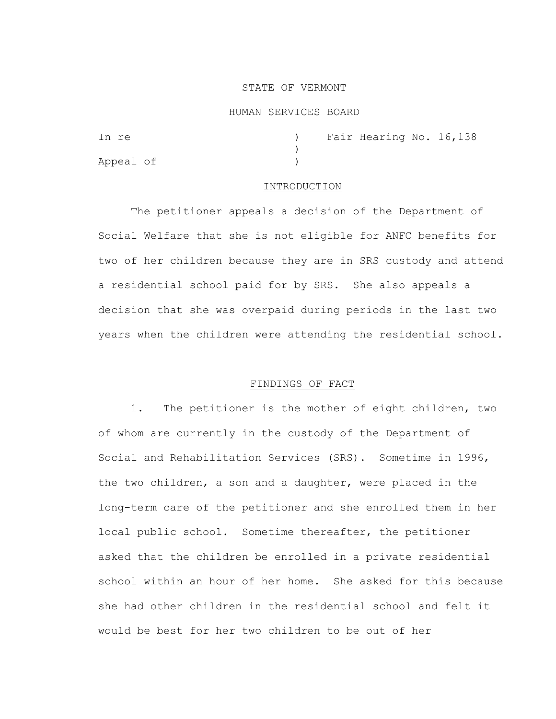### STATE OF VERMONT

### HUMAN SERVICES BOARD

| In re     |  | ) Fair Hearing No. 16,138 |  |
|-----------|--|---------------------------|--|
|           |  |                           |  |
| Appeal of |  |                           |  |

#### INTRODUCTION

The petitioner appeals a decision of the Department of Social Welfare that she is not eligible for ANFC benefits for two of her children because they are in SRS custody and attend a residential school paid for by SRS. She also appeals a decision that she was overpaid during periods in the last two years when the children were attending the residential school.

## FINDINGS OF FACT

1. The petitioner is the mother of eight children, two of whom are currently in the custody of the Department of Social and Rehabilitation Services (SRS). Sometime in 1996, the two children, a son and a daughter, were placed in the long-term care of the petitioner and she enrolled them in her local public school. Sometime thereafter, the petitioner asked that the children be enrolled in a private residential school within an hour of her home. She asked for this because she had other children in the residential school and felt it would be best for her two children to be out of her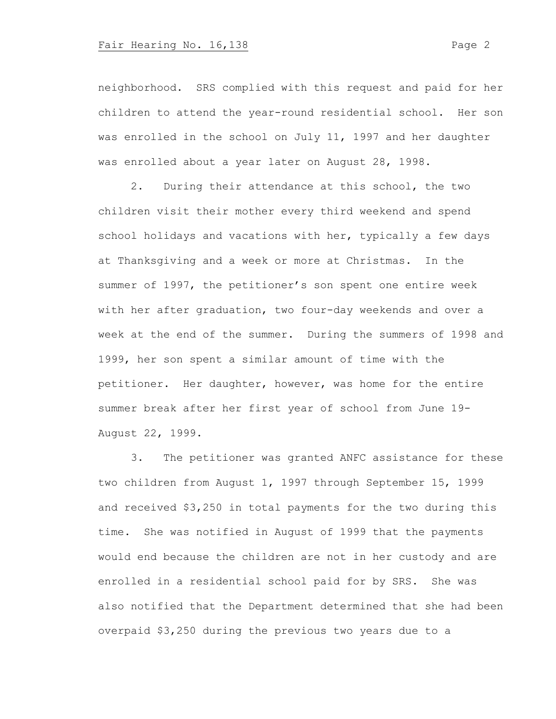## Fair Hearing No. 16,138 Page 2

neighborhood. SRS complied with this request and paid for her children to attend the year-round residential school. Her son was enrolled in the school on July 11, 1997 and her daughter was enrolled about a year later on August 28, 1998.

2. During their attendance at this school, the two children visit their mother every third weekend and spend school holidays and vacations with her, typically a few days at Thanksgiving and a week or more at Christmas. In the summer of 1997, the petitioner's son spent one entire week with her after graduation, two four-day weekends and over a week at the end of the summer. During the summers of 1998 and 1999, her son spent a similar amount of time with the petitioner. Her daughter, however, was home for the entire summer break after her first year of school from June 19- August 22, 1999.

3. The petitioner was granted ANFC assistance for these two children from August 1, 1997 through September 15, 1999 and received \$3,250 in total payments for the two during this time. She was notified in August of 1999 that the payments would end because the children are not in her custody and are enrolled in a residential school paid for by SRS. She was also notified that the Department determined that she had been overpaid \$3,250 during the previous two years due to a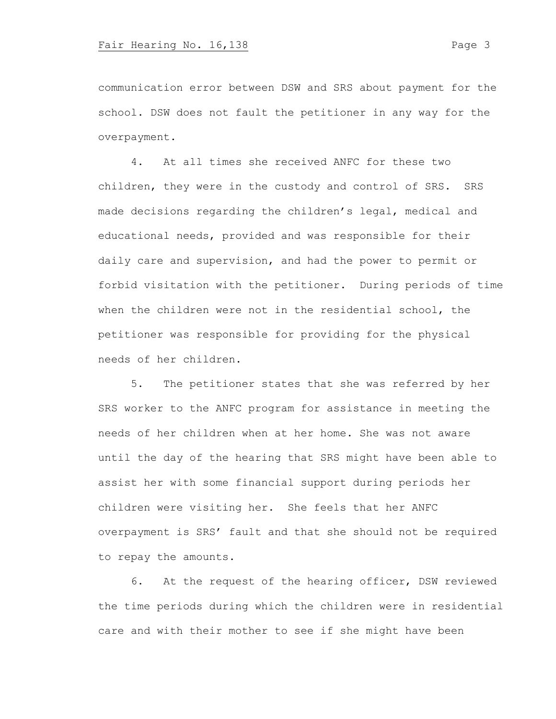communication error between DSW and SRS about payment for the school. DSW does not fault the petitioner in any way for the overpayment.

4. At all times she received ANFC for these two children, they were in the custody and control of SRS. SRS made decisions regarding the children's legal, medical and educational needs, provided and was responsible for their daily care and supervision, and had the power to permit or forbid visitation with the petitioner. During periods of time when the children were not in the residential school, the petitioner was responsible for providing for the physical needs of her children.

5. The petitioner states that she was referred by her SRS worker to the ANFC program for assistance in meeting the needs of her children when at her home. She was not aware until the day of the hearing that SRS might have been able to assist her with some financial support during periods her children were visiting her. She feels that her ANFC overpayment is SRS' fault and that she should not be required to repay the amounts.

6. At the request of the hearing officer, DSW reviewed the time periods during which the children were in residential care and with their mother to see if she might have been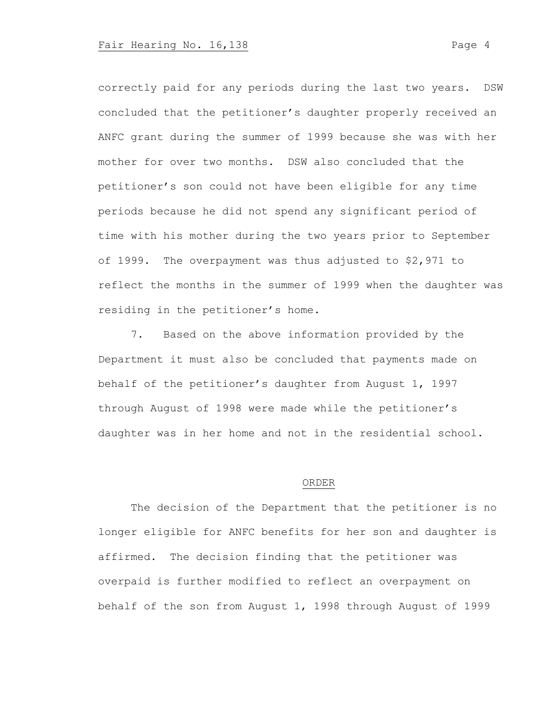correctly paid for any periods during the last two years. DSW concluded that the petitioner's daughter properly received an ANFC grant during the summer of 1999 because she was with her mother for over two months. DSW also concluded that the petitioner's son could not have been eligible for any time periods because he did not spend any significant period of time with his mother during the two years prior to September of 1999. The overpayment was thus adjusted to \$2,971 to reflect the months in the summer of 1999 when the daughter was residing in the petitioner's home.

7. Based on the above information provided by the Department it must also be concluded that payments made on behalf of the petitioner's daughter from August 1, 1997 through August of 1998 were made while the petitioner's daughter was in her home and not in the residential school.

### ORDER

The decision of the Department that the petitioner is no longer eligible for ANFC benefits for her son and daughter is affirmed. The decision finding that the petitioner was overpaid is further modified to reflect an overpayment on behalf of the son from August 1, 1998 through August of 1999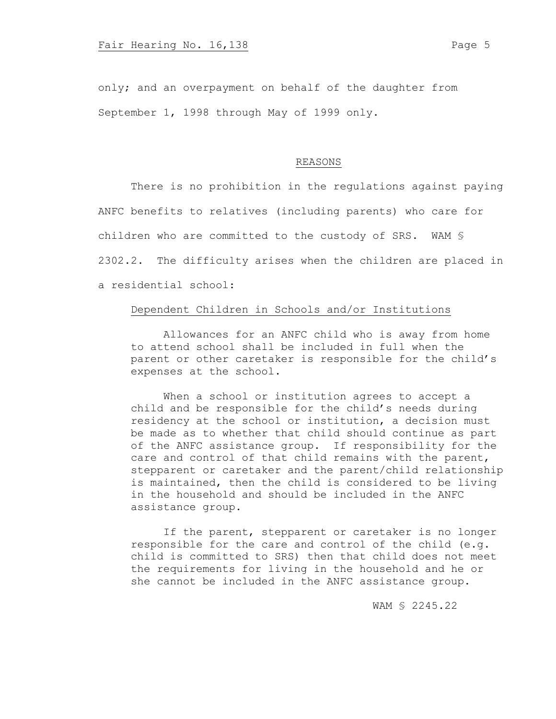only; and an overpayment on behalf of the daughter from September 1, 1998 through May of 1999 only.

### REASONS

There is no prohibition in the regulations against paying ANFC benefits to relatives (including parents) who care for children who are committed to the custody of SRS. WAM § 2302.2. The difficulty arises when the children are placed in a residential school:

# Dependent Children in Schools and/or Institutions

Allowances for an ANFC child who is away from home to attend school shall be included in full when the parent or other caretaker is responsible for the child's expenses at the school.

When a school or institution agrees to accept a child and be responsible for the child's needs during residency at the school or institution, a decision must be made as to whether that child should continue as part of the ANFC assistance group. If responsibility for the care and control of that child remains with the parent, stepparent or caretaker and the parent/child relationship is maintained, then the child is considered to be living in the household and should be included in the ANFC assistance group.

If the parent, stepparent or caretaker is no longer responsible for the care and control of the child (e.g. child is committed to SRS) then that child does not meet the requirements for living in the household and he or she cannot be included in the ANFC assistance group.

WAM § 2245.22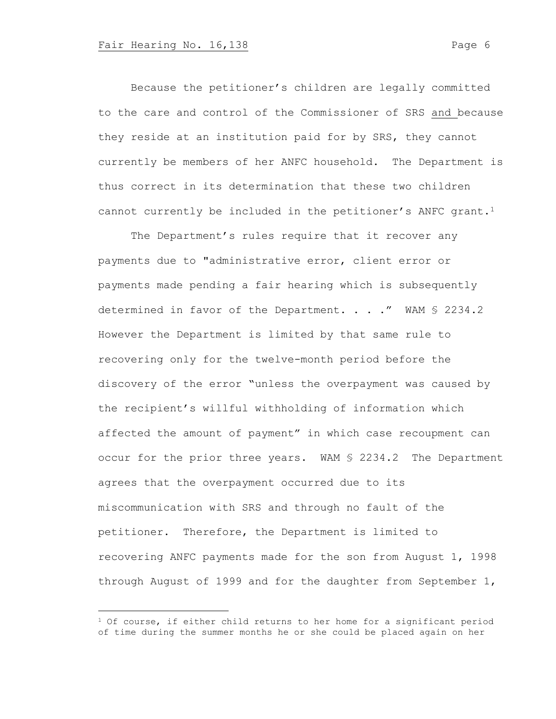Because the petitioner's children are legally committed to the care and control of the Commissioner of SRS and because they reside at an institution paid for by SRS, they cannot currently be members of her ANFC household. The Department is thus correct in its determination that these two children cannot currently be included in the petitioner's ANFC grant.<sup>1</sup>

The Department's rules require that it recover any payments due to "administrative error, client error or payments made pending a fair hearing which is subsequently determined in favor of the Department. . . ." WAM § 2234.2 However the Department is limited by that same rule to recovering only for the twelve-month period before the discovery of the error "unless the overpayment was caused by the recipient's willful withholding of information which affected the amount of payment" in which case recoupment can occur for the prior three years. WAM § 2234.2 The Department agrees that the overpayment occurred due to its miscommunication with SRS and through no fault of the petitioner. Therefore, the Department is limited to recovering ANFC payments made for the son from August 1, 1998 through August of 1999 and for the daughter from September 1,

 $1$  Of course, if either child returns to her home for a significant period of time during the summer months he or she could be placed again on her